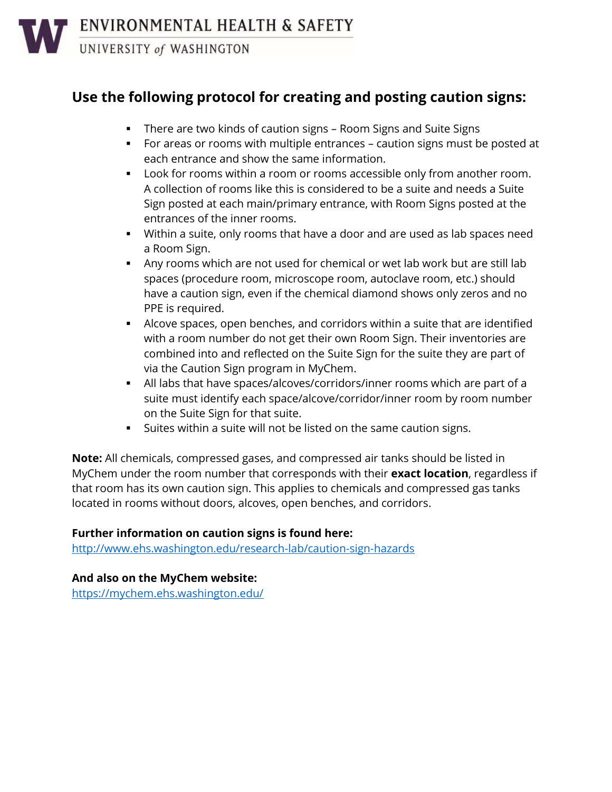UNIVERSITY of WASHINGTON

# **Use the following protocol for creating and posting caution signs:**

- **•** There are two kinds of caution signs Room Signs and Suite Signs
- For areas or rooms with multiple entrances caution signs must be posted at each entrance and show the same information.
- Look for rooms within a room or rooms accessible only from another room. A collection of rooms like this is considered to be a suite and needs a Suite Sign posted at each main/primary entrance, with Room Signs posted at the entrances of the inner rooms.
- Within a suite, only rooms that have a door and are used as lab spaces need a Room Sign.
- **EXT** Any rooms which are not used for chemical or wet lab work but are still lab spaces (procedure room, microscope room, autoclave room, etc.) should have a caution sign, even if the chemical diamond shows only zeros and no PPE is required.
- Alcove spaces, open benches, and corridors within a suite that are identified with a room number do not get their own Room Sign. Their inventories are combined into and reflected on the Suite Sign for the suite they are part of via the Caution Sign program in MyChem.
- All labs that have spaces/alcoves/corridors/inner rooms which are part of a suite must identify each space/alcove/corridor/inner room by room number on the Suite Sign for that suite.
- Suites within a suite will not be listed on the same caution signs.

**Note:** All chemicals, compressed gases, and compressed air tanks should be listed in MyChem under the room number that corresponds with their **exact location**, regardless if that room has its own caution sign. This applies to chemicals and compressed gas tanks located in rooms without doors, alcoves, open benches, and corridors.

## **Further information on caution signs is found here:**

<http://www.ehs.washington.edu/research-lab/caution-sign-hazards>

# **And also on the MyChem website:**

<https://mychem.ehs.washington.edu/>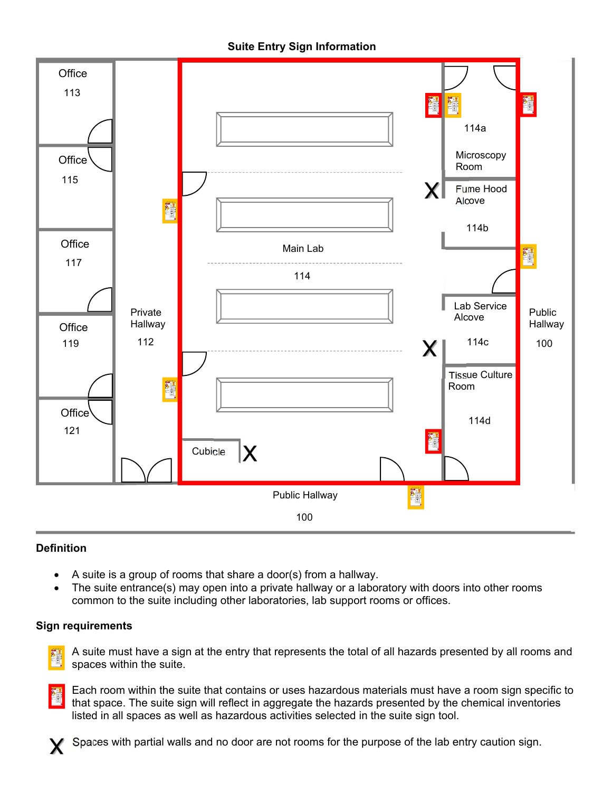**Suite Entry Sign Information** 



## **Definition**

- A suite is a group of rooms that share a door(s) from a hallway.
- The suite entrance(s) may open into a private hallway or a laboratory with doors into other rooms common to the suite including other laboratories, lab support rooms or offices.

#### **Sign requirements**



 A suite must have a sign at the entry that represents the total of all hazards presented by all rooms and spaces within the suite.



 Each room within the suite that contains or uses hazardous materials must have a room sign specific to that space. The suite sign will reflect in aggregate the hazards presented by the chemical inventories listed in all spaces as well as hazardous activities selected in the suite sign tool.



Spaces with partial walls and no door are not rooms for the purpose of the lab entry caution sign.